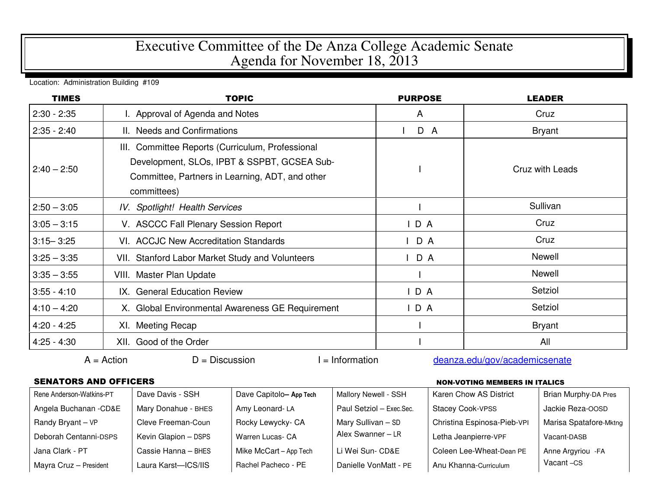## Executive Committee of the De Anza College Academic Senate Agenda for November 18, 2013

Location: Administration Building #109

| <b>TIMES</b>  | <b>TOPIC</b>                                                                                                                                                      | <b>PURPOSE</b> | <b>LEADER</b>   |
|---------------|-------------------------------------------------------------------------------------------------------------------------------------------------------------------|----------------|-----------------|
| $2:30 - 2:35$ | I. Approval of Agenda and Notes                                                                                                                                   | A              | Cruz            |
| $2:35 - 2:40$ | II. Needs and Confirmations                                                                                                                                       | D A            | <b>Bryant</b>   |
| $2:40 - 2:50$ | III. Committee Reports (Curriculum, Professional<br>Development, SLOs, IPBT & SSPBT, GCSEA Sub-<br>Committee, Partners in Learning, ADT, and other<br>committees) |                | Cruz with Leads |
| $2:50 - 3:05$ | IV. Spotlight! Health Services                                                                                                                                    |                | Sullivan        |
| $3:05 - 3:15$ | V. ASCCC Fall Plenary Session Report                                                                                                                              | IDA            | Cruz            |
| $3:15 - 3:25$ | VI. ACCJC New Accreditation Standards                                                                                                                             | D A            | Cruz            |
| $3:25 - 3:35$ | VII. Stanford Labor Market Study and Volunteers                                                                                                                   | D A            | Newell          |
| $3:35 - 3:55$ | VIII. Master Plan Update                                                                                                                                          |                | Newell          |
| $3:55 - 4:10$ | IX. General Education Review                                                                                                                                      | IDA            | Setziol         |
| $4:10 - 4:20$ | X. Global Environmental Awareness GE Requirement                                                                                                                  | IDA            | Setziol         |
| $4:20 - 4:25$ | XI. Meeting Recap                                                                                                                                                 |                | <b>Bryant</b>   |
| $4:25 - 4:30$ | XII. Good of the Order                                                                                                                                            |                | All             |

## SENATORS AND OFFICERS NON-VOTING MEMBERS IN ITALICS

| Rene Anderson-Watkins-PT | Dave Davis - SSH     | Dave Capitolo-App Tech | Mallory Newell - SSH     | Karen Chow AS District      | <b>Brian Murphy-DA Pres</b> |
|--------------------------|----------------------|------------------------|--------------------------|-----------------------------|-----------------------------|
| Angela Buchanan - CD&E   | Mary Donahue - BHES  | Amy Leonard-LA         | Paul Setziol - Exec.Sec. | <b>Stacey Cook-VPSS</b>     | Jackie Reza-OOSD            |
| Randy Bryant - VP        | Cleve Freeman-Coun   | Rocky Lewycky- CA      | Mary Sullivan - SD       | Christina Espinosa-Pieb-VPI | Marisa Spatafore-Mktng      |
| Deborah Centanni-DSPS    | Kevin Glapion - DSPS | Warren Lucas- CA       | Alex Swanner - LR        | Letha Jeanpierre-VPF        | Vacant-DASB                 |
| Jana Clark - PT          | Cassie Hanna - BHES  | Mike McCart - App Tech | Li Wei Sun- CD&E         | Coleen Lee-Wheat-Dean PE    | Anne Argyriou - FA          |
| Mayra Cruz - President   | Laura Karst-ICS/IIS  | Rachel Pacheco - PE    | Danielle VonMatt - PE    | Anu Khanna-Curriculum       | Vacant-CS                   |

 $A =$ Action  $D =$  Discussion I = Information deanza.edu/gov/academicsenate